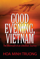# EVENING, The Aftermath of an Unknown Journey

**HOA MINH TRUONG**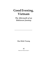# **Good Evening, Vietnam**

## *The Aftermath of an Unknown Journey*

## **Hoa Minh Truong**



Strategic Book Publishing and Rights Co.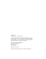Copyright 2011 All rights reserved — Hoa Minh Truong

No part of this book may be reproduced or transmitted in any form or by any means, graphic, electronic, or mechanical, including photocopying, recording, taping, or by any information storage retrieval system, without the permission, in writing, from the publisher.

Strategic Book Publishing and Rights Co. 12620 FM 1960, Suite A4-507 Houston, TX 77065 www.sbpra.com

ISBN: 978-1-61897-788-5

Typography and page composition by J. K. Eckert & Company, Inc.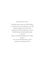#### *THIS BOOK IS DEDICATED TO:*

*The Vietnam veteran's allies, the ex-ARVN members, as a tribute to those who sacrificed their lives to fight against the communist in the Vietnam War. I am grateful to AEG for introducing my two books,*  The Dark Journey *and* Good Evening, Vietnam, *to the world. Thanks to Mr. Nguyen The Phung for your computer assistance. To my wife, Thi Thu Thanh Nguyen, who has* 

*supported me in writing since 1984.*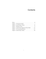## **Contents**

| Chapter 4—After the Fall of Saigon into Enemy Hands 115 |
|---------------------------------------------------------|
|                                                         |
|                                                         |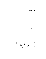## Preface

The writing of this fictional story is based upon many real-world characters and experiences surrounding the Vietnam War (1955–1975). For those unfamiliar with the war, some background information may be helpful.

During much of the 19<sup>th</sup> century, France controlled large areas of Indochina, including the country of Vietnam. When France fell to Germany during World War II (WWII), Vietnam began to again pursue its independence. In May 1941, the "Viet Minh" Front was founded, and the avowed communist, Ho Chi Minh, became its leader. At the conclusion of WWII, France attempted to reassert control in Indochina. They had the support of the Allied Forces (i.e., much of Europe and the United States), as efforts were being made to "normalize" the world following WWII, and France had held control in that area for nearly one hundred years prior to the conflict.

However, the French were opposed by the Viet Minh Front, and also the Vietnamese people, but Ho Chi Minh who had two faces: previously, in the Fontainbleau Convention in 1946, he secretly invited the French to come back. Then, after the French had returned to Vietnam, he appealed the Vietnamese people to resist them. The acts of Ho Chi Minh became controversial among the Vietnamese people. The nationalist political parties inside the Viet Minh Front strongly opposed and condemned Ho Chi Minh as a traitor. He explained to his communist comrades, "The French are the secondary enemy; the noncommunist elements are nearest and most dangerous enemies. By cooperating temporarily with the secondary enemy, we can use their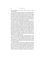hand to annihilate the local enemies, which will create a stronger communist party."

The Viet Minh Front by now had received considerable military weaponry from the vanquished Japanese, as well as from Russia and China. With the Viet Minh Front closely allied with various communist regimes, deep concern arose about the emergence of yet another communist nation that could destabilize democratic countries in that region. The world had barely emerged from the scathing losses realized when totalitarian- and communist-led nations had attempted to exert dominance during WWII, and thus most democratic countries opposed the idea of any further spread of communism.

On May 7, 1954, the Viet Minh soundly defeated the French forces deployed in the nation. Subsequently, through an international convention held in Geneva, Switzerland, the French negotiated a ceasefire agreement with the Viet Minh. At that same convention, independence was also granted to Cambodia, Laos, and Vietnam. However, no formally established government yet existed in Vietnam, and many in the country were divided between the proposed communist leadership of Ho Chi Minh in the North and that of the anticommunist Ngo Dinh Diem in the South. Through the Geneva Convention Accords, the country was temporarily partitioned at the  $17<sup>th</sup>$  parallel, and civilians were permitted to move between the two provisional states for a 300-day period. Elections were to follow in 1956 to establish a unified government. Eventually, the northern people recognized the real barbarious face of Vietnam communist party, so about one million people fled to the South for freedom.

In 1954, former Emperor Bao Dai, then national leader of South Vietnam, invited Mr. Ngo Dinh Diem to accept the position of prime minister. However, Diem also understood that the Geneva Convention was just set up by France and Russia, China, and the Vietnam communist party, so he announced in June 1955 that elections would not be held, having concluded that no free election would be possible in the communist North.

On the other hand, the security status of southern was in difficult circumstances. Inside, the Diem government had faced the pressure from U.S. General Collins and French General Ely about the numerous cabinet members each side recommended. Another serious problem was that the most of southwest provinces were dominated by the religious sect of Cao Dai and Hoa Hao. They had their own armed forces, government, and legal rules (natural law). At the center of Vietnam, the provinces of Quang Nam, Quang Ngai, Binh Dinh, and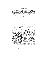Phu Yen were controlled by the former of Fifth Corps of the Viet Minh Front and were a stronghold region of Vietnamese communists. In addition, there were the other nationalist political parties of Viet Nam, Quoc Dan Dang and Dai Viet Quoc Dan Dang. But remarkably, Saigon and Cholon had been held by Binh Xuyen organization.

Security was not stable, but the both the U.S. and French sides warned Mr. Diem not to act strongly, as that might lead to a civil war. Actually, U.S. General Collins disliked Mr. Diem, although Secretary of State John Foster Dulles and Senator Mansfield supported him. Nevertheless, General Collins had always wanted to replace Diem, so he returned U.S. to convince Mr. Dulles.

Around the same time, Mr. Diem launched a military operation against the Binh Xuyen force, led by warlord Colonel Le Van Vien, nicknamed Bay Vien. Headquartered at Cau Chu Y region, this organization had controlled the most powerful security force, named "fighting police," and the gambling business and sex industry in the Saigon and Cholon areas. In this military campaign, Cao Dai cooperated. Unfortunately, Cao Dai Lieutenant General Trinh Minh The was killed in the battle. Mr. Diem also convinced the Cao Dai and Hoa Hao religious sects to unite to achieve a rebuilt southern country. Je was successful, and most of the Hoa Hao generals (such as Tran Van Soai, Nguyen Giac Ngo, and Lam Thanh Nguyen) turned back to the government. An exception was Major General Le Quang Vinh, nicknamed Ba Cut, who remained in rebel status until he was later arrested and beheaded in Can Tho province. On May 2, 1955, when General Collins returned to Vietnam, national security was stable, and all went well. He was replaced by Mr. Federick Reinhardt, the first ambassador to South Vietnam.

Mr. Diem also faced Ho Chi Minh sympathizers, and broad-based opposition to his harsh tactics soon emerged. On October 26, 1955, Diem established the Republic of Vietnam (ROV) after emerging as the winner in opinion polling between former Emperor Bao Dai and Prime Minister Ngo Dinh Diem, and he became the president of the first Republic of Vietnam.

Because Diem was fervently anticommunist and socially conservative, he had the support of many democratic countries. However, in his home country, he was seen as part of the "elite" who had worked under French rule. Mr. Diem had previously been interior minister of the Hue Dynasty, but under the colonial government's probation, so many people (especially former members of the Viet Minh Front) disliked his government. Furthermore, the Hamlet Stra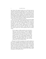tegic Scheme WAS applied (actually the act 10/59) and swept the communist rebels from the countryside. In 1958, 12,000 Viet Cong terrorists were killed and another 40,000 Viet Cong criminals were jailed after falling into the killing mission or having hard evidence linking them to Vietnam communist. The espionage agent network in the South that had been deployed after the Geneva Convention by Ho Chi Minh became disabled. He then had to send in replacement troops. (Most returned troops had a southern background, but some at the university level remained in the North.)

Since 1954, Russia had become became more involved, leading to the "Sino-Soviet split," which reduced the influence of communist China. Russia insisted that the Viet Minh accept a division of the country. By 1956, Ho Chi Minh pretending to be seeking the reunification of the nation, had begun a low-level insurgency movement in response to Diem's "Denunciation of Communists" campaign. But in fact, Ho Chi Minh created the war on orders from the Soviet Union and China's. In this effort, Ho Chi Minh was careful to garner favor with the populous wherever possible, saying:

Do not engage in military operations; that will lead to defeat. Do not take land from a peasant. Emphasize nationalism rather than communism. Do not antagonize anyone if you can avoid it. Be selective in your violence. If an assassination is necessary, use a knife, not a rifle or grenade. It is too easy to kill innocent bystanders with guns and bombs, and accidental killing of the innocent bystanders will alienate peasants from the revolution. Once an assassination has taken place, make sure [the] peasants know why the killing occurred.

Although Ho Chi Minh increasingly tried to gather popular support via lies, propaganda, and threatened terrorism, under Diem's government, most of the territory remained in a good security situation. However, after the coup d'eatat on November 1, 1963, General Duong Van Minh and his colleagues were not able to manage the country. Its so-called "general revolution committee" unconditionally released almost all of the Viet Cong espionage agents. Among them was Mr. Nguyen Ngoc Ban, nicknamed Muoi Huong, highest commander of the Southern network.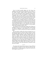Soon, the South's guerrilla fighters—the Viet Cong—were engaging in open conflict under the leadership of Ho Chi Minh. As the conflict escalated, multiple military organizations became involved. The anticommunist South Vietnamese government soldiers served in the "Army of the Republic of Vietnam" (ARVN). Combatants from the North included (1) the Vietnam People's Army (VPA), which was also known as the North Vietnamese Army (NVA), and (2) the Viet Cong, or National Liberation Front of South Vietnam (NLF), which was a South Vietnamese communist army.

Concerned about a communist takeover, the United States was increasingly drawn into an alliance with Diem, but the involvement was limited to aid and advisors. But after the coup d'etat 1963, the new government allowed the U.S. to send in troops, with a high tide of up to half million soldiers. In 1967, following a series of coups, General Nguyen Van Thieu became president of second republic, based on the Constitution of April 1, 1967.

The withdrawal of the United States military from Vietnam was completed on April 30, 1975, by the last president, General Duong Van Minh. He appointed a Prime Minister, Mr. Vu Van Mau, expelled D.A.O. Vietnam communists then claimed an unpredicted victory.

The war exacted a terrible toll in the loss of human lives. It is estimated that between one and three million Vietnamese civilians and including soldiers both sides were killed, along with some 200,000 to 300,000 Cambodians, 20,000 to 200,000 Laotians, and 58,159 U.S. soldiers. After the United States reduced the aid, the ARVN was quickly overcome, and later the country fell into the hands of the North Vietnamese communist. The consequence of the Vietnam War cost so many lives. Particularly, the North Vietnam communists and Viet Cong killed about 1,500,000. Even today, about 300,000 troopers remain missing. But the ARVN lost about 300,000 soldiers, and 100,000 ARVN and public servants were never returned home after being imprisoned in reeducation camps after the war ended.

#### § § § § § §

The writing of this fictional story was begun in January 2006 and was finished on November 18, 2010. The story could have happened anywhere in Vietnam during the Vietnam War and after the fall of Saigon on April 30, 1975.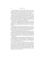In the United States, the Civil War ended when both sides recognized their mistakes, after which the winner took no action of vengeance on the loser. Each side endeavored to treat the other fairly, and all contributed a hand to help rebuild the country together.

However, the Vietnam War was not followed by similar mutual cooperation. After the new South Vietnam government took over, following their unprecedented victory on April 30, 1975, the winning Viet Cong took an entirely different approach. They imprisoned hundred of thousands of Republic of Vietnam military personnel and public servants under the guise of "reeducation" through a so-called "tolerance policy" of the revolutionary government.

To calm those being imprisoned, and the public, the Viet Cong first responded with propaganda telling the people involved that they would be sent to a centralized location for only about a week. After learning revolutionary policy, they would then return to live with their families.

Unfortunately, most of prisoners were kept a few years to two decades in these long-term jails without any justice at all—not even a court appearance to hear the charges that had been brought against them, or to allow them some word of defense—unlike the legal systems of the democratic countries in the rest of the world.

There were hundred of thousands of people who never came home, having died from the harsh treatment they received during their many years in the reeducation camps. Nevertheless, the Viet Cong still dug up graves and destroyed many cemeteries (thereby dishonoring the dead) and smashed the statues of South Vietnamese soldiers after winning the war.

Whether still alive or dead, past South Vietnam government members and sympathizers, along with their relatives, would face the same harsh circumstances from the discriminatory and revenging policies of the Viet Cong regime; even the children would face retaliatory treatment in their schools and society.

This story tells of a young U.S. soldier who came to Vietnam on his "tour of duty" and was later captured by the Viet Cong after a failed mission. He endured great suffering and harsh treatment while in the custody of the enemy. Fortunately, he was eventually released, and he returned home through a prisoner exchange scheme agreed upon after the Paris Peace Accords were signed on January 27, 1973. However, the war was not over until April 30, 1975, ending with the unexpected victory of the Viet Cong.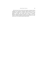After the Soviet Union and the East European communist nations collapsed, the Vietnamese communist regime opened its doors to international commerce for economic survival. In doing so, they applied a so-called "free market under control of socialism" approach. During this period, the former U.S. soldier of our story returns to Vietnam and finds the child he left behind after he was captured by the Viet Cong following his failed mission.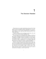## 1 The Decision Needed

Winter had arrived a couple months before and much of the United States of America, including its capital in Washington, D.C., was covered by the snow. Thus, the entire surrounding area was blanketed in white. Millions of snowy flakes had fallen and built up the ice even thicker than before.

Along the roadsides in the surrounding area the houses, trees, and lawns were all covered in the same sparkling white.

The sun seemed to have little opportunity to appear, as clusters of gray clouds continually crowded the sky. Despite this, there were still some patches of sunlight that spread a fleeting glow over small spaces on landscapes elsewhere. As the sun set, however, the heavy clouds left passersby unable to recognize between evening and night, and most of the area sank into dark shadows. A cold wind began blowing through the scene, making it even more melancholy than before.

Soon the evening sky became darker with the normal waning of the day that came earlier and earlier in the deepening winter season. The snow was now falling heavily enough that most people didn't want to leave their homes to go anywhere, at least not unless it was an absolute necessity. In the worsening weather, everyone knew to stay indoors with their heaters on, unless they had to go to work, or encountered an emergency, or had to shop for food.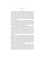#### § § § § § §

Throughout most of the United States the living standard is the same, with few giving much thought to obtaining their daily food. There are plenty of well-stocked supermarkets in each local area, and most homes have amply stocked cupboards, so there would be little reason for concern. However, in most Asian countries people must shop for food daily. Further, most people do not have enough money to buy more food than they will eat that same day, and they certainly cannot store any in the home. Even a refrigerator or freezer would be a luxury for them.

Therefore, during times of war or when facing natural disasters, such as storms, tsunamis, and earth quakes, the residents of the Western world would still be much better off than many of the people in Asian and African countries. No matter what happens, the governments of the Western world will do the best as they can to avert disaster, as the next election will be lost if they do not.

There is yet another profoundly significant difference between non-democratic and democratic countries of the world. In the U.S., the most important place is White House. However, they don't call it a "Palace" or a "Mansion" as they do in other countries. Instead, the name "White House" has a clear meaning for this democratic country—particularly because the nation's President is living in that House only because the choice of the people allows it. Thus, the country is truly free, being governed only by the voice and consent of the people.

Such is not the case in many parts of the world. Yet, the people in countries with oppressive governments are not always aware of their oppression. For example, short-sighted people from communist nations have been blinded by the lies of propaganda from their own governments. Although they see the protection of all people in free countries, even those who oppose the government, they also see furious debates inside of Congress or Parliament, in both the lower and upper houses, and they then predict that these free countries will soon collapse. However, they are quite wrong.

Freedom of speech is the key freedom of any democratic country. It is freedom of speech that helps governments obtain more ideas, exercise greater caution, and avoid or reduce corruption. So, the free nations are stronger because of the people's voice, and everyone has the right to speak—even those who oppose the government. Anyone can openly protest whatever happens by writing to a newspaper, or by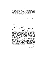airing their views on the internet, or by speaking on radio or television. Because the power in government often changes between the main political parties, the party with the best policy to take care of the people will be credited by the people in the next election.

But in dictatorial regimes, such as those in the communist nations of China, Vietnam, and Russia, the government is formed by the communist party without the voice of the people. Consequently, they don't care about the lives of the people. When a natural disaster occurs, most people have to suffer considerably more hardship, as the government does little or nothing to help them. In some communist countries the government leaders will even reduce or otherwise limit the distribution of foreign aid received for the people, in order to transfer much of it into a "comrade's" pocket. In this way, the leaders of a communist regime remain happy and comfortable even when many in their country are facing hardship through natural or manmade disasters.

The leaders of countries in the Western world, and other the nongovernmental organizations, readily turn to shippers, programmers, charitable organizations, and others eager to help reduce the misery of people facing hardship throughout the world. Unfortunately, most dictatorial governments have usurped charitable organizations as private, for-profit endeavors by which to enrich their regime's members.

Amazingly, communist regimes almost always condemn free countries as "capitalistic and counter-revolutionary," and consider them to be their real enemy. However, when natural disasters or famines strike, these same communist governments often ask for "capitalist help." Yet, the "dear comrades" such as China, Russia, and other East European communist countries produce very little, beyond weapons to make war and kill people.

This is the real face of the communist world. So, any aid to a communist regime that was intended to help their people over difficulties, usually goes only earn more profit for government officials and their cronies. The people receive only a little bit of what had been made available. Yet, in spite of such help from the free world, after the difficulties have passed, there follows no "changing of the mind" for a communist regime. They simply return to their manner, "Capitalism must be annihilated," as the core of Karl Marx's teachings.

Thus, there are radical differences between communist regimes and the governments of free nations. Because of this, in large part, the living standard in democratic countries such as the United States is even less affected by weather and other events.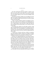#### § § § § § §

The winter snowfall had reduced the number of vehicles on the roads, even in the capital of the United States of America, though there were still some cars moving. However, most drivers took great care on the slippery highways, and of course their headlights would be used early on.

The light poles along the roadsides were just lighting up, but the lights were not able to illuminate much between each other. Even so, they were sufficiently bright to allow the drivers to see the cars ahead of them in the bad weather.

A quiet, two-storey townhouse seemed to be sleeping in its location, with its small front lawn whitened by the deepening layers of snow. Some old pine trees were becoming iced, and looked like the wax of candle melting. If there had been no light from inside the house, spreading onto the ground outside, no one would have noticed anyone inside.

In the dining room, entered via an arch under a stairway, a long table was being prepared for the last meal of day. Waiting, most of the family members were still surrounding the wood-burning heater in the family room. It had most likely been operated all day and night in order to keep the inside of the house warmed up, fighting against the chill of winter.

A medium-size of television had been switched on ceaselessly from early morning to bedtime, and there was a display of the daily programs still on the screen. It revealed the multiple shows available, including some business advertising that no one cared to watch.

The light on the ceiling illuminated most of the dining room area. At last everyone assembled around the long table covered with hot food dishes. There was a delicious aroma of roast beef, baked potatoes, and the other favorite foods. Everyone took their seats as they waited patiently, eager to eat and fill up their tummies. Actually the cold weather served to make them all even more hungry than usual, and most of the family members had also been waiting for at least half an hour for the final meal preparations to be completed.

The time finally came, and an elderly man at the head of the table stood up. The last dishes were put in placed as they all looked on with hungry expressions. The elderly man looked around the people then spoke, saying, "Now let us pray together. Join hands, please."

As short bible prayer was recited and repeated by every one present. Their heads were bowed respectfully until the prayer was ended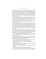by the single word, "Amen." Then everyone picked up their folk and knife, all began eating and talking quietly. Seated opposite the elderly man was an aged woman wearing a cooking dress. She had taken off her apron and joined with the family. Even so, throughout the meal she seemed to remain busy, often looking around the table and refilling food in the dishes as they were emptied or providing drinks for everyone as needed.

Soon the glow of headlights appeared at the front window, and an engine's sounds stopped. Everyone noticed and began to mention it, even as the elderly woman smiled and told everyone in a low but happy voice, "He's come home! But it is very late, isn't it?"

The elderly man looked at a clock hanging on the wall then confirmed, "It is 8:00 p.m."

Moments later the main door opened and a young man stepped inside. Behind him entered a young girl with a black leather coat still wet from the melting snow. The young couple walked into the dining room, smiling, and the elderly woman quickly brought two more chairs to the table as she said to them, "David and Jenny, have a seat, there is plenty of warm food and we only began to eat a couple of minutes ago."

The young man named David was still a high school student. He was a tall and good looking fellow, with thick brown hair and dark eyes. Today he came home a little late, but he quickly joined the meal when invited. He sat quietly without talking, and ate slowly.

The immediate family members consisted of an elderly man named Neil, his wife, Leanne, and Julia and Fiona, who were the two younger sisters of David.

Most of the family were looking at David's face, noticing that it had changed rather strangely. It seemed abnormal, and somehow oddly affected by the alcoholic smell in the air.

He ate a little and then said to Leanne, "Mum, I'm so full. I just came from a party, and they had a lot of good food there."

His youngest sister, Fiona, a pretty fourteen year-old asked, "What was the party for?"

David smiled and replied, "My classmates held a farewell party for me, because I enlisted in the army today."

Neil looked up with surprise and said, "Oh! Why didn't you tell me about that?"

David looked at his father and responded, "Sorry Dad."

Leanne is looked anxiously from her son to her husband and back again. Her eyes were opened wide in extreme surprise. Finally she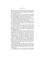said, "David, you are so young. You must continue your schooling. You have a bright future ahead of you. Please do not join the army. You need to complete your university education first. Then later you can do anything you want to."

David looked over at his mother and confidently said, "Please don't think like that, Mum. I've grown up and I'm not a baby anymore. I turned eighteen last month, so I can legally do what I want. I'm a man now, Mother, so I have to make my own decisions."

Neil shook his bald head back and forth, and then said, "No, son, you'll be sent to Vietnam if you enter the service now. It's too dangerous. I don't want you involved in this controversial war."

David smiled and said reassuringly, "I know about that, Dad, but I've made up my mind. This is what I want to do right now. I am a man, not a little boy anymore, and I have to live my own life. Now, please let me alone about it."

Leanne wasn't quite so ready to give up. She continued, saying, "But you need to attend to your studies right now. The government has a policy that allows you to continue your studies if you are enrolled in a university. Why would you want to leave school early? Your future, your life as you now know it, will change dramatically. Do you understand this, son?"

David replied firmly, "I know, Mum, but it is the duty of every U.S. citizen to serve in the armed forces. Why would anyone refuse to do their duty? So I enlisted in the army as a volunteer soldier, and I will serve our country. The majority of Americans have done their duty, and I must too. I don't like anyone calling me a coward, and avoiding military service could leave me feeling ashamed of myself.

Julia finally spoke up and said to her elder brother, "No, David, your future is only just now opening up. You're among the top students at your senior high school, and you're already eligible for entrance to a university! I hope you'll change your mind. Please don't involve yourself in the Vietnam War, or in any war in the world for that matter. It's not your concern, David. It's the government's job or, actually, the politicians."

David responded strongly but firmly, saying, "Don't oppose my decision, please, Julia. When our country calls, and when the world needs our hand to fight for freedom and democracy, how can I refuse? I have to contribute something for peace in this world. You do understand, don't you?"

"But Vietnam is so far away," Fiona replied. "It's a strange place and a small land far away on the other side of the Pacific Ocean.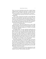There's not even any United States territory there. Actually, Vietnam is dangerous place. I already know that many U.S. soldiers have been killed, or are at least missing in action there. I just don't want you involved in an unjust war. Do you understand what I'm trying say?"

Neil nodded his head in agreement and started to speak, but his son interrupted him.

"Dad, I'm sorry," David said, "but I think if we don't fight today, then very soon the communists will invade our own land. If they ever do, they'll set up huge prison camps and massacre people *en masse* without any reason. In particular, they'll be looking for property owners, or anyone who has even a few assets. Those people will become the main targets of the killing and confiscating of the communists." David paused and then asked, "May I ask you one question?"

"Yes, you can," Neil replied openly.

David then asked, "Why did you enlist in the U.S. army to fight against the Germans in the Second World War? Germany was located in Europe, and Japan was far away in Asia. Both places were really far from home, and neither included any U.S. territory. So, what did you really join to fight for?"

Neil abruptly replied, "You don't understand anything about the Second World War, son. If we didn't fight back, then Germany and Japan would come over here; Japan had already bombed Pearl Harbor. So we had a right to fight and protect our country before the enemy came to our shores. But today is a very different circumstance from before. The world we know has been at peace for some time, and the World Wars have long since been over. You're right, I joined the Second World War, and I'm lucky to still be alive. Lots of my fellow soldiers weren't so fortunate. No, son, I don't want you to follow in my footsteps. You are my only son, do you understand?"

David smiled and replied, "You're quite right, Dad, I am your only son. But the communist threat is even more of a danger now than at any time before. The communists are trying again to threaten the world, and the communist countries are not only greater in numbers, but they are better equipped than ever before. The Soviet Union, China, and even Cuba, are very real enemies today. If we don't fight against them there, the day will come when they will come over here. But by then, it will be late for regret."

Neil listened to his son, but he saw only a young man who, in his view, did not have enough knowledge to truly understand the world's conflicts. So he asks, "How do you know about that?"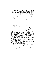David replied without any hesitation, "Dad! Do you think I'm some kind of a baby? I have read a few books in library about the communists, and even about Karl Marx and his philosophy—the folly theories of a long-term jobless man. Marx was a terribly dishonest person; he hated everybody who was richer than him. So, he designed a model of socialism that was called the "communist paradise," but it turned out to be nightmare. At the same time he was creating these theories, his close friend, Mr. Engels, who came from a wealthy family, was supporting him and covering his living expenses. Karl Marx hated rich people and saw them as his enemy, and he condemned "capitalism," which means that Karl Marx also theoretically hated Engels. But he was still willing to use the friendship to create what he wanted. Unfortunately, Karl Marx's theories were applied by Vladimir Ilyich Lenin, who gained control over the government of Russia through the 'The October Revolution of 1917.' Lenin was a crazy man, too. He, and people like him, have always wanted to transform the world from democratic governments into dictatorships. Many of these people formed small groups that became the communist parties in their various countries. They have planned to control the national economy, to dominate the minds of people, and to destroy all religion. So, today we have Mao Tse Tung in China, Ho Chi Minh in Vietnam, and Fidel Castro in Cuba. Other communists have taken over other countries in the same way. Communists are massive killers, and they manage their countries by force and policies of terrorism. The communists have become the new enemy in the world after Hitler, and they are just as barbarous, if not more so, than other enemies of the past. Can't you see that all communist regimes are the same?"

Neil asked, "What do you mean?"

David answered by asking another question, "Dad, do you know what a pirate is?"

Neil becomes somewhat upset and says, "We are discussing communism, not pirates! Are you trying to change the subject?"

David shrugged his shoulders and said, "Alright. I just wanted to tell you about the communists, that's all.

"Well, go on," Neil responded uncertainly.

David continued, saying, "Most pirates use the skull and crossed bones symbol on a black flag background. Where ever you find pirates, the symbol is the same. Well, most of the communist countries are the same too; they always use a Red flag and the symbols of a hammer and peasant knife. But they are more dangerous than pirates ever were. The communists have become well organized, and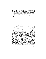they also love violence and bloodshed. They work to occupy key positions in government so they can't easily be overthrown. In this way most communist regimes rule through a fairly small group of "comrades" who are more dangerous than the Mafia. Most communist regimes have used Karl Marx's philosophies and explanations as justifications for massacres, confiscation of property, and transforming people into slaves."

Neil and Leanne were initially shocked by David's decision, but after listening David speak about the communists, they were impressed by his knowledge. However, Julia and Fiona know nothing about the politics involved because they were so young that their minds were still limited to their school lessons. Even so, after listening to David speak they both reacted with surprise and looked at their elder brother admirably. Without thinking Julia suddenly said, "Really? I don't know much about the communists."

Fiona quickly agreed and added, "I think David's right. Germany was in Europe and Japan was in Asia, but the U.S. still had to get involved in the Second World War even though the enemies were far away. If we wait until our enemies come here, it may be too late. We must stop them before they come into our homeland. It is the best way to protect our homes, people's lives, and also our way of life."

David responded happily, "Fiona, you're a real smart girl! You recognized the danger of Hitler and the Japanese in Second World War, and now you can see how it applies today. The communists are even more dangerous to us than Hitler and the Japanese were back then. For example, Cuba is not far from our mainland and Mr. Fidel Castro and his communist regime are often threatening us. I remember when, during the term of President John F. Kennedy, Russia's communist leader, Mr. Nikita Khrushchev brought intercontinental missiles with atomic warheads and deployed them in Cuban territory. If President Kennedy hadn't responded with a strong enough decision, the Soviet Union would have never withdrawn those missiles. Are we really in danger? Well, just look around the world. The communists have appeared in many parts of the globe. In every case they have been massive killers and war makers. They are the real criminals in the world. So, we have to fight against this evil for peace and safety at home. Everyone hates war, but we have to crush these war makers for the sake of future peace whenever they become murderously aggressive with their neighbors who ask for our help."

Leanne deeply loved her only son. Certainly she never wanted to see him go away anywhere—not even so much as moving to another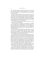state. Her hope was that one day David would become a teacher and have a wife and children. She had expected him to set up a normal life, just like anyone else. So, after hearing the news, her expression became quite serious.

However, she knew nothing about the world today, and she knew she couldn't convince David to stay home and enter a university the next year. She was an aging woman, and was always busy with homemaking tasks such as cooking, shopping, washing, and cleaning, etc. Even so, she now felt an intense desire to convince her son to change his mind, particularly as she recalled the daily television reports about the grave dangers involved in the Vietnam war.

At last Leanne looked at David and asked, "David, do you really want to leave our beloved family?"

"Not really, Mum," David replied. "I will always love our family, but I also need to grow up. I understand very well that one day I will leave our family and set up another family of my own, and become a meaningful member of society. But first I want to do something to help other people who desperately need my contribution before I do things only for myself."

David looked over at his girlfriend, Jenny. She had been very quiet since their arrival, perhaps because she didn't want to become involved in any argument with her boyfriend's family. But after David explained his views, many of the family members began glancing toward Jenny as if silently seeking her opinion.

Jenny suddenly felt very shy with everyone looking at her, even though she knew that David's family had accepted their relationship a long time ago. Their two families lived in the same suburb, and they had known each other for at least five years. David often went to Jenny's place for dinner or a party, or to join in some family activity, and just as often she accompanied him to his home. They spent their most beautiful times together during their annual school holidays, at either her place or his. Sometimes they went elsewhere in Washington, D.C., and together they shared many wonderful memories.

Leanne realized this, and knew how important assistance from Jenny could be at this difficult time. Carefully measuring the situation, she asked, "Jenny, how do you feel about David's decision?"

Jenny smiled lightly and hesitatingly replied, "I don't know yet, Leanne. It's his own decision. I only heard about it myself in the last couple days, from his friends, but I didn't believe it until I met him at a party in this evening—it was a farewell party from his schoolmates.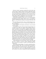However, Leanne's expression remained firm and she then said, "David, I think you ought to change your mind. I suggest that you just stay home and go to school next year. We will take care of everything for you, and I promise to do anything you need. You can just stay in our house and pay nothing, and that way you won't have to worry about living on campus or anything else. If you want a brand new car, I will purchase it for you straight away. This is my last offer.

David quickly responded, "Mum, I can't. It is my final decision. Everything has already arranged, and next week I will be going to attend the training at boot camp. I will be a G.I. soon, and I feel very proud of it. My friends have enlisted, too, and they will be there with me.

Neil said nothing, but he knew only too well the dangerous situation awaiting David if he went on to Vietnam after his military training was completed.

Leanne continued to feel hopeless and shocked, so she just looked at her son quietly.

At just that moment the television program being broadcast was interrupted with a flash news update. The lead bulletin showed a crowd of a hundred or more protestors struggling violently with the police. In the crowd, some slogans were displayed: "Stop the Vietnam war right now," and "Bring our boys home," among them. Others displayed the flag of the communist Viet Cong, with its half red-half dark blue background and yellow star at the center. Still other waived the red flags of communist North Vietnam. Clearly some of the protestors were people with left-leaning tendencies, or even pro-communist elements such as friends or comrades of the Viet Cong (VC). Indeed, in the crowd of people, there were even some protestors carrying portraits of the North Vietnamese leader Ho Chi Minh, further suggesting the possibility of pro-communist agents arranging the protest rally. The scene was very exciting, with everyone watching.

Leanne turned back to her son and said, "David, is this really what you want? To fight in a war that is widely condemned by people? Don't you see that the majority of people are protesting against the Vietnam War?

David replied without thinking, "It is just the communist and procommunist members, Mum. They set up these peace movements to distract us from doing what needs to be done. Those opposed to freedom and democracy are only the bloody communists! We cannot accept what they say. They are very dangerous people, but they are also a minority in our society. Among the more than one hundred and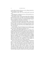seventy million Americans, there are very few willing to protest freedom in Vietnam, It is not a majority.

Neil disagreed, saying, "How can you talk like that? Look at the news!"

David answered, "Certainly I see the news. But the protestors are a minority. Besides, who are they?"

Fiona joined in, saying, "David, you are wrong. There are plenty of people gathered up there. You should watch and listen to what they have to say. Take a look, David. They are crowded around the White House, and hundreds of policemen are fighting with them. The protestors are right, they want to peace, not war at all."

David looked at his youngest sister and responded, "Fiona, you are so young and you don't know enough about it. Take a closer look at the scene. There are actually very few protestors, and they are withdrawing steadily. Look, someone was just arrested by police. Look, too, at how they dress and act. They are just rubbish people, the bastards, of all of them."

Leanne interjects, "David, the protestors are not a minority, as you say. You are not being objective or impartial, and you are just taking the government's side and ignoring the people's view."

After a pause David replied, "Mother, they are so a minority. If not, then presidents Kennedy and Johnson, and anyone else wanting to be president would lose the election by deciding to remain involved in the Vietnam War. Most of the U.S. presidents have had the right policy in Vietnam War, so they have strong support from the majority of the people. The U.S. people voted for them to protect the peace by fighting against the communists. We must either defend the peace by fighting against the evil communists, or we will eventually be destroyed by enemy and all will be lost. The U.S. people have always strongly supported our Armed Forces in the Vietnam War. It is true, freedom is at stake, and we must to open our eyes widely to realize this.

The eyes of everyone in the room remained drawn to the television screen, but David continued to explain his thoughts. "We all love peace, of course, and we also hate war. I have read some books in the library, so I know that the peace movement has around for a long time, ever since the First World War from 1914 to 1918. Then, in 1932 these peace lovers held a General Congress in the city of Amsterdam, in Holland. Their focus was to stop any war that might occur from the various conflicts in the world. However, they could not stop dictators like Hitler, Mussolini, and others. So, the Second World War began among the European nations and spread throughout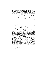the world. Today, the peace lovers are still seeking their goal. But, unfortunately, communist espionage agents from the communist world have transformed the peace movement into a tool for their own use. Today, the peace lovers are only serving communist interests. They are made up of childish people, and some left-wing politicians who act as the donkey's head. The politicians are simply using the peace movement to further their ambitions for the next election. I don't trust anything about the peace movement. They are wrong!"

As David spoke, no one raised any opposition to his opinion. Perhaps they lacked enough knowledge. Regardless, he continued, saying, "You'll notice that the peace movement is not active in the communist states, such as Russia, China and other East European nations. Clearly, this is because even those in the peace movement are not allowed to express their opinions by taking any action. No, they just continue making trouble in the democratic countries. It is unfair."

Having largely expressed his views, David grew silent.

Jenny looked around at everyone else, and then she broke the silence by saying, "I think David is right. For myself, I always hate war. But we have to fight for freedom and democracy anywhere it exists in the world. Only by doing that can we keep a lasting peace, and make sure that our own homeland stays safe. Only if the world is safe can we hope for our peace to last. We cannot live in peace if war is all around us and our homeland being threatened by evil. It looks like a fire around us now. You cannot be safe if you don't fight against the fire. My cousin has been fighting in the Vietnam War, and I met him before he enlisted in the army. We talked with him just the same as everyone here is talking with David…"

Neil interrupted Jenny to ask, "How is John?"

Jenny replied, "He's alright. He has been serving in Da Nang province. Last month I got a letter from him. He wrote to our family about the Vietnam War, but he also told us how the country is so beautiful, and that there are many good people there. Actually, they have a wonderful culture, and there are lots of lovely foods available. The people there don't like the war either, but the communists have been bringing the war from the north to destroy and terrorize those who live in the south. So, millions of lives are being threatened and put in dangerous circumstances by the communist warlord Ho Chi Minh—he is the Vietnamese communist leader. However, the 'peace movement' has launched false propaganda. They have misled the public about the Viet Cong by suggesting that they are different from the North Vietnam communists. They have had some success with this, because the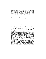Viet Cong are gorilla fighters who live in South Vietnam. In truth, the communists up north and the Viet Cong in the south are one and the same. Both are terrorists, and both use weapons that the Soviet Union, China, and East European countries have provided—AK-47 assault rifles, CKC carbines (a kind of shorter, lighter rifle), and B-40 rocket launchers, and such.

Jenny paused for a moment. Seeing that everyone was still listening, she continued, saying, "John told me about the enemy of peace today. The North Vietnam communist party, led by Ho Chi Minh, uses the name "Vietnam Worker's Party" to confuse the Vietnamese people. And it usually works. In the south, many of the people are uneducated or poorly-educated peasants, and most live in rural areas. There they know nothing about the communists—not even Karl Marx or Vladimir Lenin or the so-called "Marxist-Leninist philosophy." Not knowing any better, they just join the guerilla troops for the promise of a better standard of living or a high position in society if the communists win the war. In this way uneducated peasants have joined the Viet Cong in carrying out orders from high ranking leaders to conduct terrorism against innocent people."

Nodding, David adds, "When the communists moved into South Vietnam, they used yet another name, "The Vietnam People's Revolution Party." Under that new name they convinced the peasants in South Vietnam to help them, because they know nothing about the communists. In the typical way of communist rule, all property in the nation has been centralized into the hands of a small group—which is the communist party. But the poorly educated and the uneducated peasants don't know better, so they join the Viet Cong troops. In the communist regime people have to work very hard—much like slave laborers—and they get nothing for their work. If the communist calls themselves by their real "communist" name, even the peasants would fight against them, too."

Neil shook his head and said, "I know. The Vietnam War is very much like the Civil War that was fought long ago between the north and the south in our country. In those days, our people fought over slavery, but after they listened to the debates and recognized how wrong slavery was, support for the slave states in the south weakened and they finally stopped killing each other."

Turning to his father, David disagreed, saying, "The Vietnam war is quite different from the U.S. Civil War, Dad. Don't confuse the two."

Neil then asked, "How are they different?"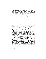David explained, "Our country had a civil war, it is true. But a Vietnam War it was not. For example, during the Civil War, our citizens were not given communist propaganda intended to cheat the world, not just our country. Further, while the 'peace movement' in Vietnam is based on propaganda and lies, the views of the North and South during the Civil War were very open, direct, and honest. Where people disagreed, they disagreed on principles, not on propaganda."

Leanne tried again to convince her son, saying, "David, you are wrong, the Vietnam war is still a civil war, because the two sides of Vietnam are fighting each other, and they are of the same ethnic background."

Julia agreed with her mother's opinion. "That is right," she said. "North Vietnam fights against the south. Let them do their own fighting for themselves. It is better that we don't get involved with them. It is not any of our business."

David glanced toward his younger sister and replied, "Julia, you don't have enough experience or learning to fully understand the Civil War, the First and Second World Wars, and the Cold War and communism to draw that conclusion. Take the Korean War, for example. Now, it is much more like the Vietnam War. So why do we accept the Korean War as necessary, but conclude that the Vietnam War is not?"

With some exasperation Julia blurted out, "But the Vietnamese are fighting against their own people. It is clearly a civil war."

David turned to his younger sister and said, "Julia, you must to learn more about world history! Your view of the world is as small as a window frame."

Neil objected, and said, "But Julia is right, and so am I."

Fiona also agreed with Neil, saying, "Dad is right."

With a strong voice David stated, "All of you know nothing about the Vietnam War, and that is a terrible mistake."

Jenny supported David, saying, "David is right. I know well what my cousin John has learned in Vietnam. Before he went there, he didn't realize what was happening, but he still went when he was drafted into the army. Once there, John didn't desert as some cowards did. He respected himself and his country. After about three months in Vietnam, he sent a letter and told us that he now understood the Vietnam War. He explained to us that it is not civil war, as some would have us believe. Instead, it is a war driven by the communist world. Through it, they are threatening whole the world, and our homeland is also one of their targets. Actually, the Vietnam communists have also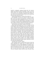launched a propaganda campaign declaring that 'the American Empire is the number one enemy of the people.' Clearly, if we do not defend ourselves, the communists could attack other countries and even us after they have successfully occupied the South Vietnam territory. Why are we so blind? We must not listen to the cowards of the peace movement! They are all liars."

Feeling somewhat defensive, Neil asks, "How do they lie?"

Jenny responded, "If you have not worked on a farm, you couldn't know of the hard work and sweat necessary to produce the grain, fruits, bread, meat, milk and vegetables that we eat. You have to do the work yourself to fully understand that. In the same way, we need to at least hear 'the work' and the suffering and hardships in Vietnam to even begin to understand what is happening there. So, let me share John's experiences with you, and then you can understand the lies."

"Jenny, do not go so far, please!" Leanne said anxiously.

Jenny looked at Leanne and said, "Oh yes! I am going to tell you everything about John's thinking since he went over there. You need to know. Before going he misunderstood the Vietnam War, but after going to Vietnam, he told my family and friends the truth from his personal experiences. He explained to us that if the communist Vietnamese from the north had not invaded, the Vietnamese people in the south would have lived in peace. This is because the South Vietnamese government is a Republic, with freedom and democracy much like anywhere else in the world. The North Vietnamese Communists, however, must obey and comply with orders from the communist empires of Russia and China. Their leader, Ho Chi Minh, accepts this because he has never been willing to give up his ambition for power. The Soviet Union, China, and the other East European communist nations continue to provide weapons to the Vietnam communists using the invasion road to the south. It is the so-called Ho Chi Minh Trail, which runs from north to South Vietnam, with much of it across the Laotian and Cambodian borders.

Astonished, Julia exclaimed, "Really!"

Jenny continued, saying, "If someone doesn't come over here who clearly understands the Vietnam War, the American people will remain ignorant of what is actually happening. In the absence of better information, they can be easily misled by the communist propaganda being spread into Western society. The enemy in our country has never revealed their real face, or the communist's hand directing them. In many cases they have hidden as the 'peace movement.' Given the communist elements inside the peace movement, many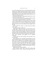may well be espionage agents. My cousin has spent time there, and he has been an eye witness to what has occurred in Vietnam. In the Second World War, if Hitler hadn't attacked other European countries or started killing the Jews, the world would never have gone to war. The Vietnam War is the same. If the communists didn't make the war, we would not have become involved.

At this point Julia asked, "I've heard people talk about the 'Ho Chi Minh Trail,' but what exactly is it?"

Neil answered this question. Drawing from his limited knowledge he said, "It is just a long road, like one of our highways."

Jenny shook her head and clarified, saying, "The Ho Chi Minh Trail is not like any highway in our country, neither is it like a road in a town or between cities. The Ho Chi Minh Trail has not become famous because of its size, but because members of the media have referred to it nearly every day on television, in newspapers, and on the radio.

David confirmed this, saying, "I've heard of the Ho Chi Minh's Trail, as well."

Leanne then also asked, "What is it?"

David replied, "Well, from the books I read in the library, the Ho Chi Minh Trail is collection of paths, roads, and river routes. It is more than 2,200 kilometers long, and it crosses the borders of three countries: Vietnam, Laos and Cambodia. It wends its way through the deep jungle, and on into the high mountains of the Truong Son mountain range. It has become the single most important route for transportation, troop movements, and supplies for the Vietnamese communists.

Excited to learn more, Julia exclaimed, "How interesting! I never knew about that."

David continued as every one listened with rapt attention. "Parts of the Ho Chi Minh Trail have existed for centuries as trade routes in the region. After the Vietnamese war for independence against the colonial French, from 1945 to 1954, the long road was abandoned. However, in May of 1959, Ho Chi Minh ordered the creation of a special unit known as "Special Task Force 559." This task force gathered workers together to reopen and upgrade the trail. There would often be more than 100,000 laborers building and repairing that collection of roads at any given time."

Surprised, Leanne exclaimed, "Really!"

David continued, saying, "That's right. North Vietnam really needed this network of roads to further its goals against South Viet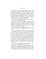nam. In 1959, the Communist Party of Vietnam, or CPV, issued a secret resolution to begin invading South Vietnam. At the same time, the CPV began denouncing the U.S. and all other allies of the South Vietnamese including Australia, South Korea, Thailand, New Zealand, the Philippines, and Taiwan. Further, Ho Chi Minh and his communist party launched the propaganda campaign of "fighting against the American Empire" long before the U.S. ever came to the aid of South Vietnam. They were simply militantly against any and every democracy in the world, and the U.S. in particular."

Now it was Neil's turn to be surprised at what David was telling them. "Really!" he exclaimed in amazement.

David nodded as he looked at his father and said, "That's right. Although we had not yet come to Vietnam, the communists already considered us an enemy; so the communists wanted to destroy our homeland and they declared war. If they could have they would have attacked us, just like when Japan bombed Pearl Harbor in August 1941. This is a lesson that we must learn."

Fiona was growing even more intrigued, and asked, "David, could you tell us more about the Ho Chi Minh trail, please? It is very interesting."

"Sure," David replied. "The Ho Chi Minh trail is a long collection of roads, paths, and waterways used to move people and supplies across the 17<sup>th</sup> Parallel that divides north and south Vietnam. The trail starts in Ben Thuy, in the Quang Binh province, and moves on through to the Mu-Gia hill. Then it crosses into Laos territory. There are two main supply bases along the road named Tchepone and Muong Nong. These bases are known only by the code numbers 611 and 613. The road winds through central Vietnamese territory and on into Cambodia. The North Vietnam communists have used the Ho Chi Minh trail to invade South Vietnam with well armed military divisions supplied with military surplus goods and weapons. All these supplies and weapons are transported by Russian-made Molotova brand trucks."

At this point Julia interrupted and asked, "Why did the Vietnam communists create two supply bases in Laotian territory?"

David explained, "If the Vietnam communists set up any base in North Vietnam, it would become a target for airplane attacks, and the world would also recognize the huge weapons and the army surplus stores being provided to the North Vietnamese by the Soviet Union, China, and the other communist countries. So, the North Vietnamese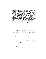communists kept these materials hidden outside of Vietnam. This was a very malicious and dishonest way to wage their war."

After hearing David's explanation Fiona and Julia didn't have any more questions, but Leanne was still hoping that her son would change his mind. Turning to face David, she said, "Anyway, I hope you will still enter a university next year. That is my final hope."

David did not intend to change his mind, but he didn't want this to be upsetting, so he did not respond directly to his mother's comment. Instead, having shared his knowledge about Ho the Chi Minh trail, he continued by saying, "I recently read a book about Vladimir Lenin in the library. He wanted to dye the whole world red and transform people into slaves. Then he wanted to take the world's riches and annihilate the intellectuals and religions of the occupied lands. The powerhungry ambitions of communism are ceaseless, so we must stop them as soon as possible. Do you want to be a slave forever? Or do you want us to live freely?"

Leanne said nothing, and instead looked down quietly.

Seeing this, Jenny continued by saying, "John was in the furious battle known as the 'Tet offensive' during Mau Than 1968. He wrote to us about the things he actually saw, and he also sent photos…"

Fiona interrupted, saying, "I heard one of my classmates say that her father had died in battle 1968, but I didn't know much about it."

Jenny replied, "I was just like you, not knowing much about the war either. But my cousin, John, has lived and fought in Vietnam, and he wrote letters and also provided photographs as hard evidence of what was happening. John told our family many things about the 'Tet Offensive,' called the 'Tet Mau Than battle of 1968' in Vietnam. 'Tet' referred to 'Tet Nguyen Dan' which is the Vietnamese New Year, and 'Mau Than' referred to the 'Year of the Monkey' as that was the Chinese zodiac designation for 1968. John particularly discussed the horrible massacre of the South Vietnamese people at that time by the North Vietnamese communist soldiers."

Leanne now looked up and said, "I heard about that, but I didn't believe it was true."

Jenny responded, "Neither did I, when I first heard of it. But when I read John's letters and saw the photographs, I cried. I wondered how the Viet Cong could do that to their people! They are all the same ethnicity, and all from the same country as well, but the Viet Cong massacred the South Vietnamese barbarously.

Neil then asked, "How?"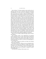Jenny continues, "In Vietnam, people love peace and they also celebrate the Lunar New Year as a sacred day, along with several other surrounding days. For them, this time is as important as Christmas Day or New Year's Eve over here. In 1968, the Vietnamese communists announced that they intended to celebrate the lunar holidays, as they had in the past; so both sides declared a two-day cease-fire order as before. However, on the first day of the new lunar year—'Tet Nguyen Dan' fell on January 31<sup>st</sup> that year—the Vietnam communists violated a cease-fire agreement, and over 80,000 troops attacked more than 100 towns and cities in South Vietnam. The armed forces used heavy artillery and armor units from the north and guerrilla forces from the south. During this time, per routine, a portion of the South Vietnam government and many army personnel were on their annual holiday. These are holy and special days for all Vietnamese people, including the Viet Cong, and it was expected that having mutually declared a cease-fire, the peace would be respected. John's unit was located at Da Nang, a city that was attacked heavily by the crowds of Viet Cong troops, as most the U.S. soldiers were also on holiday. The Vietnamese communists opened fire with their heavy artillery, firing right into army bases, government buildings, civilian houses, and even hospitals. The Army of the Republic of South Vietnam and the allied forces had to open fire in self defense. All the towns and cities were being attacked. The communist troops destroyed the homes of innocent civilians and then killed the inhabitants in cold blood."

Julia felt a wave of sadness coupled with anger, and said, "Really? How barbaric!"

Jenny continued, saying, "It was unbelievable. The communist troops occupied Hue city for 25 days, during which they killed more than four thousand civilians, and the victims' bodies were buried in mass graves around the city before the troops withdrew. John came to this place personally, and while he was there he took photographs. It was a horrible scene."

Fiona couldn't restrain her emotions any longer and exclaimed, "Those cruel communists!"

David spoke up and said, "Maybe now you can understand why I believe that the protestors who oppose the Vietnam War are either communists, or just stupid people who know nothing about the Vietnam War. They have it all wrong, and they are probably being unknowingly led by someone in the shadows—perhaps by a communist espionage agent."

Neil looked down, thinking, without saying a word.